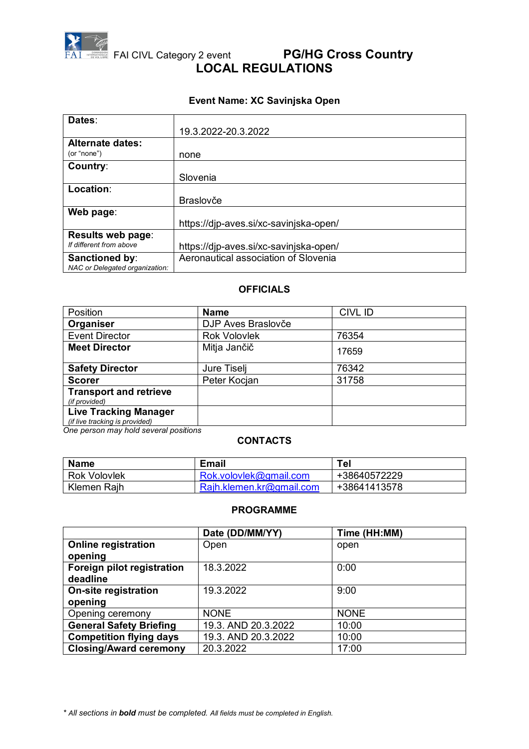

# **FAI FAI CIVL Category 2 event PG/HG Cross Country LOCAL REGULATIONS**

## **Event Name: XC Savinjska Open**

| Dates:                         |                                        |
|--------------------------------|----------------------------------------|
|                                | 19.3.2022-20.3.2022                    |
| <b>Alternate dates:</b>        |                                        |
| (or "none")                    | none                                   |
| Country:                       |                                        |
|                                | Slovenia                               |
| Location:                      |                                        |
|                                | <b>Braslovče</b>                       |
| Web page:                      |                                        |
|                                | https://djp-aves.si/xc-savinjska-open/ |
| Results web page:              |                                        |
| If different from above        | https://djp-aves.si/xc-savinjska-open/ |
| Sanctioned by:                 | Aeronautical association of Slovenia   |
| NAC or Delegated organization: |                                        |

#### **OFFICIALS**

| Position                                                       | <b>Name</b>         | CIVL ID |
|----------------------------------------------------------------|---------------------|---------|
| Organiser                                                      | DJP Aves Braslovče  |         |
| <b>Event Director</b>                                          | <b>Rok Volovlek</b> | 76354   |
| <b>Meet Director</b>                                           | Mitja Jančič        | 17659   |
| <b>Safety Director</b>                                         | Jure Tiselj         | 76342   |
| <b>Scorer</b>                                                  | Peter Kocjan        | 31758   |
| <b>Transport and retrieve</b><br>(if provided)                 |                     |         |
| <b>Live Tracking Manager</b><br>(if live tracking is provided) |                     |         |

*One person may hold several positions*

#### **CONTACTS**

| <b>Name</b>         | <b>Email</b>             | <b>Tel</b>   |
|---------------------|--------------------------|--------------|
| <b>Rok Volovlek</b> | Rok.volovlek@gmail.com   | +38640572229 |
| Klemen Raih         | Rajh.klemen.kr@gmail.com | +38641413578 |

#### **PROGRAMME**

|                                | Date (DD/MM/YY)     | Time (HH:MM) |
|--------------------------------|---------------------|--------------|
| <b>Online registration</b>     | Open                | open         |
| opening                        |                     |              |
| Foreign pilot registration     | 18.3.2022           | 0:00         |
| deadline                       |                     |              |
| <b>On-site registration</b>    | 19.3.2022           | 9:00         |
| opening                        |                     |              |
| Opening ceremony               | <b>NONE</b>         | <b>NONE</b>  |
| <b>General Safety Briefing</b> | 19.3. AND 20.3.2022 | 10:00        |
| <b>Competition flying days</b> | 19.3. AND 20.3.2022 | 10:00        |
| <b>Closing/Award ceremony</b>  | 20.3.2022           | 17:00        |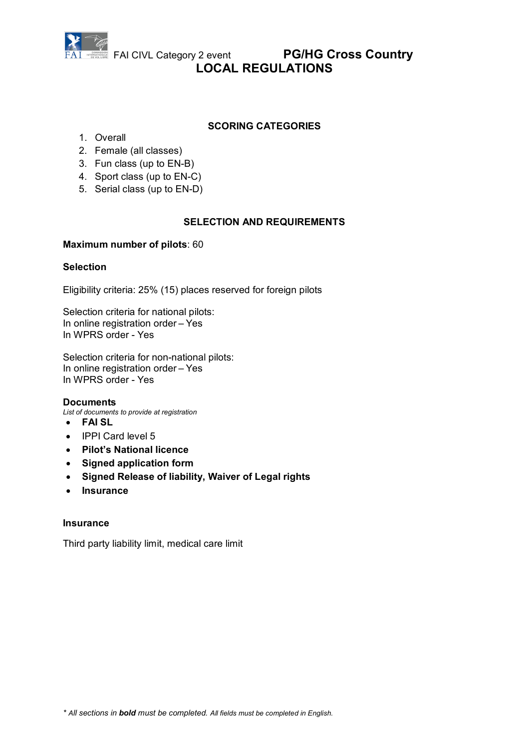

# FAI CIVL Category 2 event **PG/HG Cross Country LOCAL REGULATIONS**

### **SCORING CATEGORIES**

- 1. Overall
- 2. Female (all classes)
- 3. Fun class (up to EN-B)
- 4. Sport class (up to EN-C)
- 5. Serial class (up to EN-D)

### **SELECTION AND REQUIREMENTS**

#### **Maximum number of pilots**: 60

### **Selection**

Eligibility criteria: 25% (15) places reserved for foreign pilots

Selection criteria for national pilots: In online registration order – Yes In WPRS order - Yes

Selection criteria for non-national pilots: In online registration order – Yes In WPRS order - Yes

#### **Documents**

*List of documents to provide at registration*

- **FAI SL**
- IPPI Card level 5
- **Pilot's National licence**
- **Signed application form**
- **Signed Release of liability, Waiver of Legal rights**
- **Insurance**

#### **Insurance**

Third party liability limit, medical care limit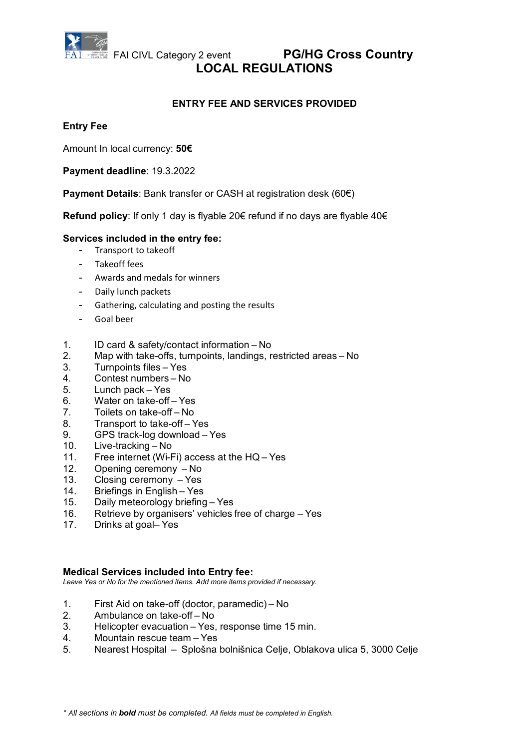

## **FAI CIVL Category 2 event PG/HG Cross Country LOCAL REGULATIONS**

## **ENTRY FEE AND SERVICES PROVIDED**

#### **Entry Fee**

Amount In local currency: **50€**

**Payment deadline**: 19.3.2022

**Payment Details**: Bank transfer or CASH at registration desk (60€)

**Refund policy**: If only 1 day is flyable 20€ refund if no days are flyable 40€

#### **Services included in the entry fee:**

- Transport to takeoff
- Takeoff fees
- Awards and medals for winners
- Daily lunch packets
- Gathering, calculating and posting the results
- Goal beer
- 1. ID card & safety/contact information No
- 2. Map with take-offs, turnpoints, landings, restricted areas No
- 3. Turnpoints files Yes
- 4. Contest numbers No
- 5. Lunch pack Yes
- 6. Water on take-off Yes
- 7. Toilets on take-off – No
- 8. Transport to take-off Yes
- 9. GPS track-log download Yes
- 10. Live-tracking – No
- 11. Free internet (Wi-Fi) access at the HQ Yes
- 12. Opening ceremony No
- 13. Closing ceremony  $-$  Yes
- 14. Briefings in English Yes
- 15. Daily meteorology briefing – Yes
- 16. Retrieve by organisers' vehicles free of charge – Yes
- 17. Drinks at goal– Yes

#### **Medical Services included into Entry fee:**

*Leave Yes or No for the mentioned items. Add more items provided if necessary.*

- 1. First Aid on take-off (doctor, paramedic) – No
- 2. Ambulance on take-off – No
- 3. Helicopter evacuation – Yes, response time 15 min.
- 4. Mountain rescue team – Yes
- 5. Nearest Hospital  – Splošna bolnišnica Celje, Oblakova ulica 5, 3000 Celje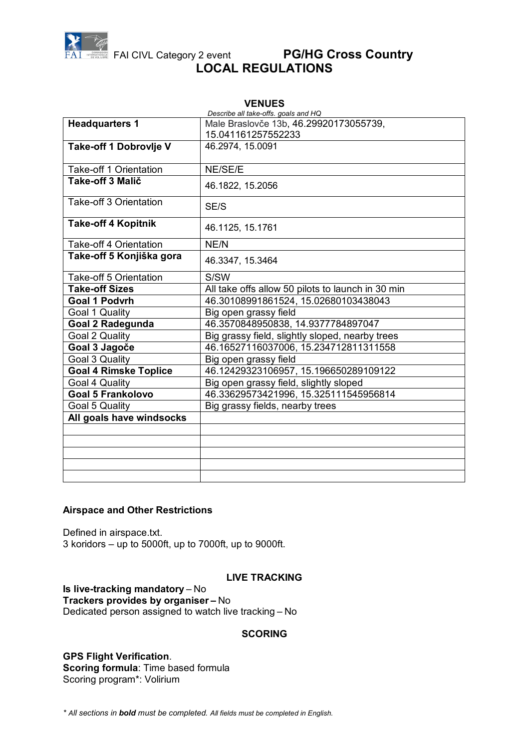

# FAI CIVL Category 2 event **PG/HG Cross Country LOCAL REGULATIONS**

| <b>VENUES</b>                              |                                                   |  |
|--------------------------------------------|---------------------------------------------------|--|
| Describe all take-offs. goals and HQ       |                                                   |  |
| <b>Headquarters 1</b>                      | Male Braslovče 13b, 46.29920173055739,            |  |
|                                            | 15.041161257552233                                |  |
| Take-off 1 Dobrovlje V                     | 46.2974, 15.0091                                  |  |
|                                            | NE/SE/E                                           |  |
| Take-off 1 Orientation<br>Take-off 3 Malič |                                                   |  |
|                                            | 46.1822, 15.2056                                  |  |
| Take-off 3 Orientation                     | SE/S                                              |  |
| <b>Take-off 4 Kopitnik</b>                 | 46.1125, 15.1761                                  |  |
| <b>Take-off 4 Orientation</b>              | NE/N                                              |  |
| Take-off 5 Konjiška gora                   | 46.3347, 15.3464                                  |  |
| Take-off 5 Orientation                     | S/SW                                              |  |
| <b>Take-off Sizes</b>                      | All take offs allow 50 pilots to launch in 30 min |  |
| <b>Goal 1 Podvrh</b>                       | 46.30108991861524, 15.02680103438043              |  |
| Goal 1 Quality                             | Big open grassy field                             |  |
| <b>Goal 2 Radegunda</b>                    | 46.3570848950838, 14.9377784897047                |  |
| Goal 2 Quality                             | Big grassy field, slightly sloped, nearby trees   |  |
| Goal 3 Jagoče                              | 46.16527116037006, 15.234712811311558             |  |
| Goal 3 Quality                             | Big open grassy field                             |  |
| <b>Goal 4 Rimske Toplice</b>               | 46.12429323106957, 15.196650289109122             |  |
| Goal 4 Quality                             | Big open grassy field, slightly sloped            |  |
| <b>Goal 5 Frankolovo</b>                   | 46.33629573421996, 15.325111545956814             |  |
| <b>Goal 5 Quality</b>                      | Big grassy fields, nearby trees                   |  |
| All goals have windsocks                   |                                                   |  |
|                                            |                                                   |  |
|                                            |                                                   |  |
|                                            |                                                   |  |
|                                            |                                                   |  |
|                                            |                                                   |  |

#### **Airspace and Other Restrictions**

Defined in airspace.txt. 3 koridors – up to 5000ft, up to 7000ft, up to 9000ft.

#### **LIVE TRACKING**

### **Is live-tracking mandatory** – No

**Trackers provides by organiser –** No

Dedicated person assigned to watch live tracking – No

#### **SCORING**

#### **GPS Flight Verification**. **Scoring formula**: Time based formula Scoring program\*: Volirium

*\* All sections in bold must be completed. All fields must be completed in English.*